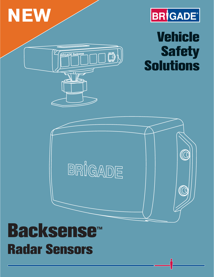



# **Vehicle Safety Solutions**



Ď.

RIGADE Backsense

# **Backsense™ Radar Sensors**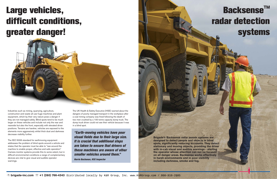# **Large vehicles, difficult conditions, greater danger!**



Industries such as mining, quarrying, agriculture, construction and waste all use huge machines and plant equipment, which by their very nature pose a danger if they are not managed safely. Blind spots tend to be much larger on these vehicles and include not only the rear and nearside but also the front, especially with elevated driver positions. Terrains are harsher, vehicles are exposed to the elements more aggressively whilst thick dust and darkness decrease visibility further.

The ISO 5006 standard for earthmoving equipment addresses the problem of blind spots around a vehicle and states that the operator must be able to "see around the machine to enable proper, effective and safe operation." Camera monitor systems provide this to some extent, but in difficult environmental conditions a range of complementary devices are vital to give visual and audible operator warnings.

The UK Health & Safety Executive (HSE) warned about the dangers of poorly managed transport in the workplace after a coal mining company was fined following the death of two men crushed by a 100 tonne capacity dump truck. The dump truck driver could not see their vehicle because it was in a blind spot.

*"Earth-moving vehicles have poor visual fields due to their large size. It is crucial that additional steps are taken to ensure that drivers of these machines are aware of other smaller vehicles around them."*

*Norrie Buchanan, HSE Inspector*

# **Backsense™ radar detection systems**

**Brigade's Backsense radar sensor systems are designed to detect people and objects in blind spots, significantly reducing accidents. They detect stationary and moving objects, providing the driver with in-cab visual and audible warnings - alerting the operator whose attention can not be focused on all danger areas. Backsense works effectively in harsh environments and in poor visibility including darkness, smoke and fog.**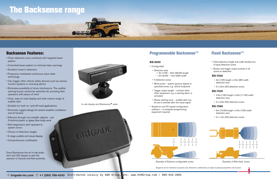# **The Backsense range**

### **Backsense Features:**

- Close detection zone combined with targeted beam pattern
- Controlled beam pattern to minimise false warnings
- Excellent close-in detection
- Frequency modulated continuous wave radar technology
- Can trigger other vehicle safety devices such as camera monitor systems or reversing alarms
- Eliminates possibility of driver interference. The audible warning buzzer cannot be switched off, providing fleet operators with peace of mind
- Clear, easy-to-read display and wide volume range of audible alert
- Suitable for both on- and off-road applications
- Suitable for both on- and off-road applications<br>• Extremely rugged design for severe weather conditions and all terrains
- Effective through non-metallic objects can fit behind plastic or glass fibre body work
- Self-diagnostics alert operator to system errors rt operator to<br>ranges<br>visual display<br>tification<br>an in-cab audio
- Choice of detection ranges
- 5 stage audible and visual display
- Comprehensive certification



Example of Extreme configurable zones Example of Elite fixed zones

Every Backsense has an in-cab audio alert and LED display to alert the operator to hazards and their proximity.

## **Programmable Backsense™**

#### **BS-8000**

- Configurable:
- Detection area
	- 3m (10ft) 30m (98.5ft) length • 2m (6.5ft) – 10m (33ft) width
- 5 detection zones
- Blind zones system ignores objects in specified zones, e.g. vehicle bodywork
- Trigger output length controls when other equipment, e.g. a warning alarm, is activated
- Buzzer starting zone audible alert can be set to activate after the visual signal
- Simple-to-use PC-based configuration software – no bespoke programming equipment required

### **Fixed Backsense™**



- Fixed detection length and width divided into 5 equal detection zones
- Buzzer and trigger output activate in all zones on detection

#### **BS-7030**

- 3m (10ft) length x 2.5m (8ft) width detection area
- 5 x 0.6m (2ft) detection zones

#### **BS-7045**

- 4.5m (15ft) length x 3.5m (11.5ft) width detection area
- 5 x 0.9m (3ft) detection zones

#### **BS-7060**

- 6m (19.5ft) length x 4.5m (15ft) width detection area
- 5 x 1.2m (4ft) detection zones



In-cab display and Backsense**™** radar

Diagrams are for illustration purposes only. Detection is affected by an object's physical properties and location.

o BRICADE

 $AA$ 

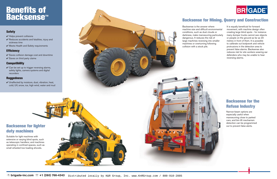## **Benefits of Backsense ™**

# **Backsense for lighter duty machines** Suitable for light machines with extensive or varying blind spots, such as telescopic handlers; and machines operating in confined spaces, such as small wheeled low-loading shovels.



## **Backsense for the Refuse Industry**

Narrow-beam options are especially useful when manoeuvring close to parked cars, and bin-lift mechanism detection can be programmed out to prevent false alerts.

Backsense is the answer where machine size and difficult environmental conditions, such as dust clouds or darkness, make manoeuvring particularly dangerous. It reduces the risk of large machines reversing into smaller machines or overturning following collision with a stock pile.

 $\vee$  Can be set up to trigger reversing alarms, safety lights, camera systems and digital recorders

 $\vee$  Unaffected by moisture, dust, vibration, heat, cold, UV, snow, ice, high wind, water and mud



**DANGER KE** 

It is equally beneficial for forward movement, with machine design often creating large blind spots - for instance many dumper trucks cannot see objects or people on the ground as far as 20 metres in front of them. It is possible to calibrate out bodywork and vehicle protrusions in the detection area to prevent false alarms. Backsense also reduces risk for site workers wearing ear defenders who may be unable to hear reversing alarms.

## **Backsense for Mining, Quarry and Construction**

### **Safety**

- $\vee$  Helps prevent collisions
- $\vee$  Reduces accidents and fatalities, injury and sickness time
- $\vee$  Meets Health and Safety requirements

### **Efficiency**

- $\checkmark$  Saves collision damage cost and downtime
- $\checkmark$  Saves on third party claims

### **Compatibility**

### **Ruggedness**